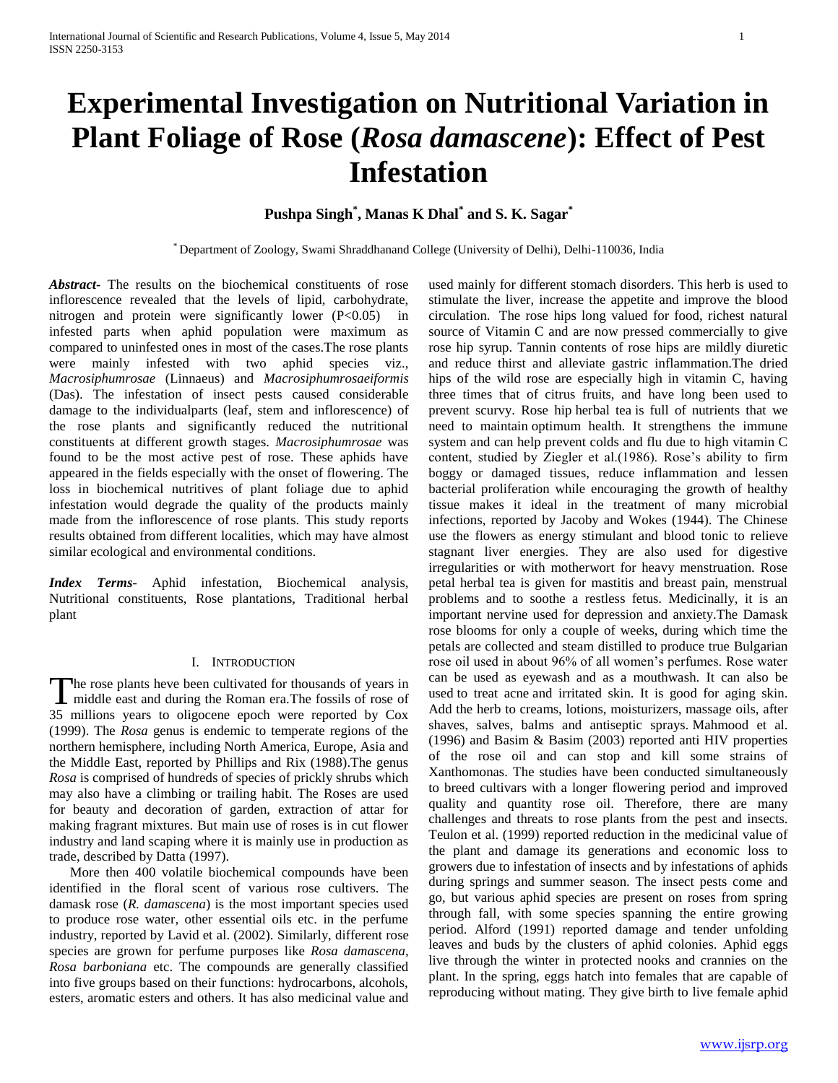# **Experimental Investigation on Nutritional Variation in Plant Foliage of Rose (***Rosa damascene***): Effect of Pest Infestation**

# **Pushpa Singh\* , Manas K Dhal\* and S. K. Sagar\***

\* Department of Zoology, Swami Shraddhanand College (University of Delhi), Delhi-110036, India

*Abstract***-** The results on the biochemical constituents of rose inflorescence revealed that the levels of lipid, carbohydrate, nitrogen and protein were significantly lower  $(P<0.05)$  in infested parts when aphid population were maximum as compared to uninfested ones in most of the cases.The rose plants were mainly infested with two aphid species viz., *Macrosiphumrosae* (Linnaeus) and *Macrosiphumrosaeiformis* (Das). The infestation of insect pests caused considerable damage to the individualparts (leaf, stem and inflorescence) of the rose plants and significantly reduced the nutritional constituents at different growth stages. *Macrosiphumrosae* was found to be the most active pest of rose. These aphids have appeared in the fields especially with the onset of flowering. The loss in biochemical nutritives of plant foliage due to aphid infestation would degrade the quality of the products mainly made from the inflorescence of rose plants. This study reports results obtained from different localities, which may have almost similar ecological and environmental conditions.

*Index Terms*- Aphid infestation, Biochemical analysis, Nutritional constituents, Rose plantations, Traditional herbal plant

#### I. INTRODUCTION

he rose plants heve been cultivated for thousands of years in The rose plants heve been cultivated for thousands of years in middle east and during the Roman era. The fossils of rose of 35 millions years to oligocene epoch were reported by Cox (1999). The *Rosa* genus is endemic to temperate regions of the northern hemisphere, including North America, Europe, Asia and the Middle East, reported by Phillips and Rix (1988).The genus *Rosa* is comprised of hundreds of species of prickly shrubs which may also have a climbing or trailing habit. The Roses are used for beauty and decoration of garden, extraction of attar for making fragrant mixtures. But main use of roses is in cut flower industry and land scaping where it is mainly use in production as trade, described by Datta (1997).

 More then 400 volatile biochemical compounds have been identified in the floral scent of various rose cultivers. The damask rose (*R. damascena*) is the most important species used to produce rose water, other essential oils etc. in the perfume industry, reported by Lavid et al. (2002). Similarly, different rose species are grown for perfume purposes like *Rosa damascena, Rosa barboniana* etc. The compounds are generally classified into five groups based on their functions: hydrocarbons, alcohols, esters, aromatic esters and others. It has also medicinal value and used mainly for different stomach disorders. This herb is used to stimulate the liver, increase the appetite and improve the blood circulation. The rose hips long valued for food, richest natural source of Vitamin C and are now pressed commercially to give rose hip syrup. Tannin contents of rose hips are mildly diuretic and reduce thirst and alleviate gastric inflammation.The dried hips of the wild rose are especially high in vitamin C, having three times that of citrus fruits, and have long been used to prevent scurvy. Rose hip herbal tea is full of nutrients that we need to maintain optimum health. It strengthens the immune system and can help prevent colds and flu due to high vitamin C content, studied by Ziegler et al.(1986). Rose's ability to firm boggy or damaged tissues, reduce inflammation and lessen bacterial proliferation while encouraging the growth of healthy tissue makes it ideal in the treatment of many microbial infections, reported by Jacoby and Wokes (1944). The Chinese use the flowers as energy stimulant and blood tonic to relieve stagnant liver energies. They are also used for digestive irregularities or with motherwort for heavy menstruation. Rose petal herbal tea is given for mastitis and breast pain, menstrual problems and to soothe a restless fetus. Medicinally, it is an important nervine used for depression and anxiety.The Damask rose blooms for only a couple of weeks, during which time the petals are collected and steam distilled to produce true Bulgarian rose oil used in about 96% of all women's perfumes. Rose water can be used as eyewash and as a mouthwash. It can also be used to treat acne and irritated skin. It is good for aging skin. Add the herb to creams, lotions, moisturizers, massage oils, after shaves, salves, balms and antiseptic sprays. Mahmood et al. (1996) and Basim & Basim (2003) reported anti HIV properties of the rose oil and can stop and kill some strains of Xanthomonas. The studies have been conducted simultaneously to breed cultivars with a longer flowering period and improved quality and quantity rose oil. Therefore, there are many challenges and threats to rose plants from the pest and insects. Teulon et al. (1999) reported reduction in the medicinal value of the plant and damage its generations and economic loss to growers due to infestation of insects and by infestations of aphids during springs and summer season. The insect pests come and go, but various aphid species are present on roses from spring through fall, with some species spanning the entire growing period. Alford (1991) reported damage and tender unfolding leaves and buds by the clusters of aphid colonies. Aphid eggs live through the winter in protected nooks and crannies on the plant. In the spring, eggs hatch into females that are capable of reproducing without mating. They give birth to live female aphid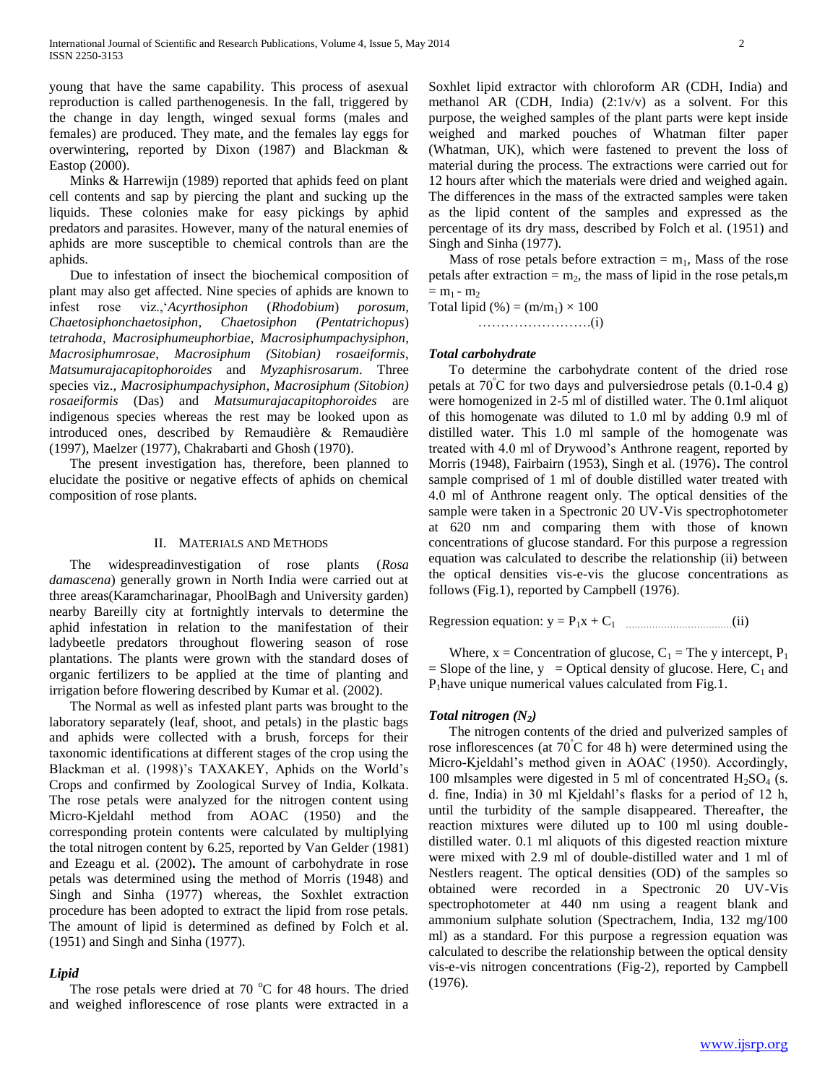young that have the same capability. This process of asexual reproduction is called parthenogenesis. In the fall, triggered by the change in day length, winged sexual forms (males and females) are produced. They mate, and the females lay eggs for overwintering, reported by Dixon (1987) and Blackman & Eastop (2000).

 Minks & Harrewijn (1989) reported that aphids feed on plant cell contents and sap by piercing the plant and sucking up the liquids. These colonies make for easy pickings by aphid predators and parasites. However, many of the natural enemies of aphids are more susceptible to chemical controls than are the aphids.

 Due to infestation of insect the biochemical composition of plant may also get affected. Nine species of aphids are known to infest rose viz.,'*Acyrthosiphon* (*Rhodobium*) *porosum*, *Chaetosiphonchaetosiphon*, *Chaetosiphon (Pentatrichopus*) *tetrahoda*, *Macrosiphumeuphorbiae*, *Macrosiphumpachysiphon*, *Macrosiphumrosae*, *Macrosiphum (Sitobian) rosaeiformis*, *Matsumurajacapitophoroides* and *Myzaphisrosarum*. Three species viz., *Macrosiphumpachysiphon*, *Macrosiphum (Sitobion) rosaeiformis* (Das) and *Matsumurajacapitophoroides* are indigenous species whereas the rest may be looked upon as introduced ones, described by Remaudière & Remaudière (1997), Maelzer (1977), Chakrabarti and Ghosh (1970).

 The present investigation has, therefore, been planned to elucidate the positive or negative effects of aphids on chemical composition of rose plants.

#### II. MATERIALS AND METHODS

 The widespreadinvestigation of rose plants (*Rosa damascena*) generally grown in North India were carried out at three areas(Karamcharinagar, PhoolBagh and University garden) nearby Bareilly city at fortnightly intervals to determine the aphid infestation in relation to the manifestation of their ladybeetle predators throughout flowering season of rose plantations. The plants were grown with the standard doses of organic fertilizers to be applied at the time of planting and irrigation before flowering described by Kumar et al. (2002).

 The Normal as well as infested plant parts was brought to the laboratory separately (leaf, shoot, and petals) in the plastic bags and aphids were collected with a brush, forceps for their taxonomic identifications at different stages of the crop using the Blackman et al. (1998)'s TAXAKEY, Aphids on the World's Crops and confirmed by Zoological Survey of India, Kolkata. The rose petals were analyzed for the nitrogen content using Micro-Kjeldahl method from AOAC (1950) and the corresponding protein contents were calculated by multiplying the total nitrogen content by 6.25, reported by Van Gelder (1981) and Ezeagu et al. (2002)**.** The amount of carbohydrate in rose petals was determined using the method of Morris (1948) and Singh and Sinha (1977) whereas, the Soxhlet extraction procedure has been adopted to extract the lipid from rose petals. The amount of lipid is determined as defined by Folch et al. (1951) and Singh and Sinha (1977).

#### *Lipid*

The rose petals were dried at 70  $^{\circ}$ C for 48 hours. The dried and weighed inflorescence of rose plants were extracted in a Soxhlet lipid extractor with chloroform AR (CDH, India) and methanol AR (CDH, India) (2:1v/v) as a solvent. For this purpose, the weighed samples of the plant parts were kept inside weighed and marked pouches of Whatman filter paper (Whatman, UK), which were fastened to prevent the loss of material during the process. The extractions were carried out for 12 hours after which the materials were dried and weighed again. The differences in the mass of the extracted samples were taken as the lipid content of the samples and expressed as the percentage of its dry mass, described by Folch et al. (1951) and Singh and Sinha (1977).

Mass of rose petals before extraction  $= m_1$ , Mass of the rose petals after extraction  $= m_2$ , the mass of lipid in the rose petals, m  $= m_1 - m_2$ 

Total lipid  $(\%)=(m/m_1)\times 100$ …………………….(i)

*Total carbohydrate*  To determine the carbohydrate content of the dried rose petals at  $70^{\circ}$ C for two days and pulversiedrose petals  $(0.1-0.4 \text{ g})$ were homogenized in 2-5 ml of distilled water. The 0.1ml aliquot of this homogenate was diluted to 1.0 ml by adding 0.9 ml of distilled water. This 1.0 ml sample of the homogenate was treated with 4.0 ml of Drywood's Anthrone reagent, reported by Morris (1948), Fairbairn (1953), Singh et al. (1976)**.** The control sample comprised of 1 ml of double distilled water treated with 4.0 ml of Anthrone reagent only. The optical densities of the sample were taken in a Spectronic 20 UV-Vis spectrophotometer at 620 nm and comparing them with those of known concentrations of glucose standard. For this purpose a regression equation was calculated to describe the relationship (ii) between the optical densities vis-e-vis the glucose concentrations as follows (Fig.1), reported by Campbell (1976).

Regression equation: y = P1x + C<sup>1</sup> ………………………………(ii)

Where,  $x =$  Concentration of glucose,  $C_1 =$ The y intercept,  $P_1$ = Slope of the line,  $y =$  Optical density of glucose. Here,  $C_1$  and  $P_1$ have unique numerical values calculated from Fig.1.

#### *Total nitrogen (N2)*

 The nitrogen contents of the dried and pulverized samples of rose inflorescences (at 70<sup>º</sup>C for 48 h) were determined using the Micro-Kjeldahl's method given in AOAC (1950). Accordingly, 100 mlsamples were digested in 5 ml of concentrated  $H<sub>2</sub>SO<sub>4</sub>$  (s. d. fine, India) in 30 ml Kjeldahl's flasks for a period of 12 h, until the turbidity of the sample disappeared. Thereafter, the reaction mixtures were diluted up to 100 ml using doubledistilled water. 0.1 ml aliquots of this digested reaction mixture were mixed with 2.9 ml of double-distilled water and 1 ml of Nestlers reagent. The optical densities (OD) of the samples so obtained were recorded in a Spectronic 20 UV-Vis spectrophotometer at 440 nm using a reagent blank and ammonium sulphate solution (Spectrachem, India, 132 mg/100 ml) as a standard. For this purpose a regression equation was calculated to describe the relationship between the optical density vis-e-vis nitrogen concentrations (Fig-2), reported by Campbell (1976).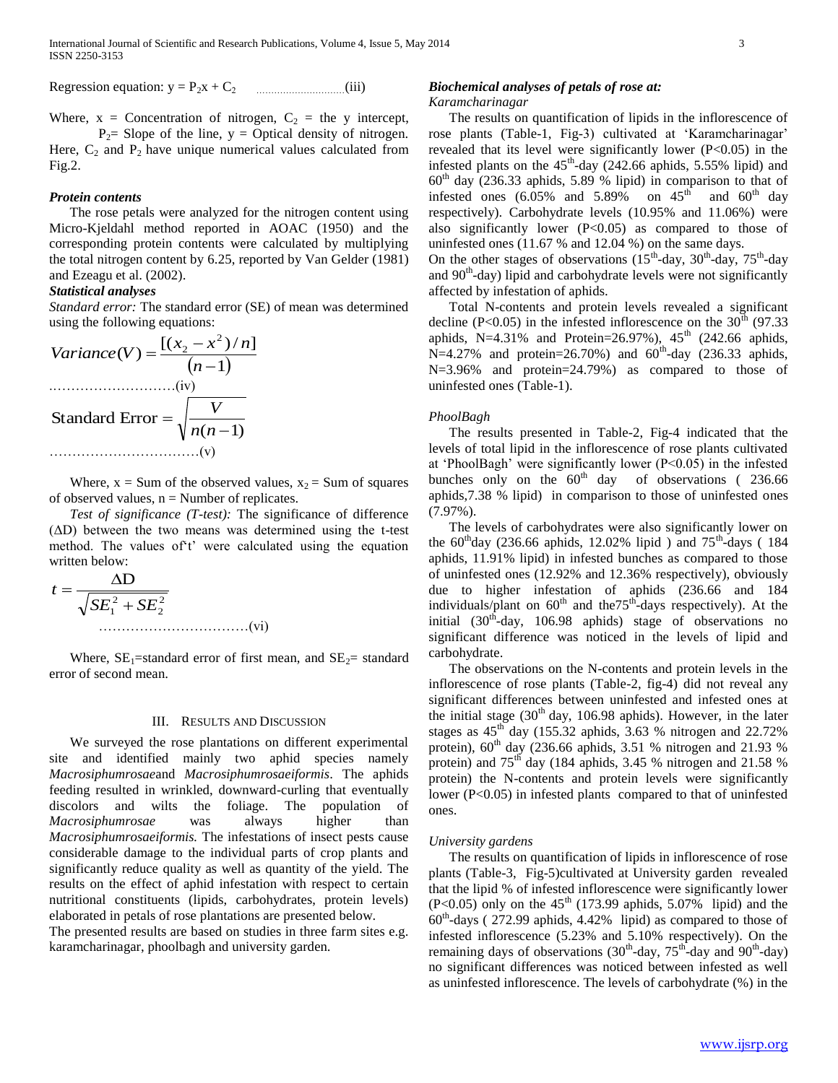Regression equation: y = P2x + C2 …………………………(iii)

Where,  $x =$  Concentration of nitrogen,  $C_2 =$  the y intercept,  $P_2$ = Slope of the line, y = Optical density of nitrogen.

Here,  $C_2$  and  $P_2$  have unique numerical values calculated from Fig.2.

#### *Protein contents*

 The rose petals were analyzed for the nitrogen content using Micro-Kjeldahl method reported in AOAC (1950) and the corresponding protein contents were calculated by multiplying the total nitrogen content by 6.25, reported by Van Gelder (1981) and Ezeagu et al. (2002).

### *Statistical analyses*

*Standard error:* The standard error (SE) of mean was determined using the following equations:

Variance(V) = 
$$
\frac{[(x_2 - x^2)/n]}{(n-1)}
$$
  
.................(iv)  
Standard Error = 
$$
\sqrt{\frac{V}{n(n-1)}}
$$
.................(v)

Where,  $x = Sum$  of the observed values,  $x<sub>2</sub> = Sum$  of squares of observed values,  $n =$  Number of replicates.

 *Test of significance (T-test):* The significance of difference  $(AD)$  between the two means was determined using the t-test method. The values of't' were calculated using the equation written below:

2 2 2 1 D *SE SE t* ……………………………(vi)

Where,  $SE_1$ =standard error of first mean, and  $SE_2$ = standard error of second mean.

#### III. RESULTS AND DISCUSSION

 We surveyed the rose plantations on different experimental site and identified mainly two aphid species namely *Macrosiphumrosae*and *Macrosiphumrosaeiformis*. The aphids feeding resulted in wrinkled, downward-curling that eventually discolors and wilts the foliage. The population of *Macrosiphumrosae* was always higher than *Macrosiphumrosaeiformis.* The infestations of insect pests cause considerable damage to the individual parts of crop plants and significantly reduce quality as well as quantity of the yield. The results on the effect of aphid infestation with respect to certain nutritional constituents (lipids, carbohydrates, protein levels) elaborated in petals of rose plantations are presented below.

The presented results are based on studies in three farm sites e.g. karamcharinagar, phoolbagh and university garden.

# *Biochemical analyses of petals of rose at:*

*Karamcharinagar*

 The results on quantification of lipids in the inflorescence of rose plants (Table-1, Fig-3) cultivated at 'Karamcharinagar' revealed that its level were significantly lower (P<0.05) in the infested plants on the  $45<sup>th</sup>$ -day (242.66 aphids, 5.55% lipid) and  $60<sup>th</sup>$  day (236.33 aphids, 5.89 % lipid) in comparison to that of infested ones  $(6.05\%$  and  $5.89\%$  on  $45<sup>th</sup>$  and  $60<sup>th</sup>$  day respectively). Carbohydrate levels (10.95% and 11.06%) were also significantly lower  $(P<0.05)$  as compared to those of uninfested ones (11.67 % and 12.04 %) on the same days.

On the other stages of observations  $(15<sup>th</sup>-day, 30<sup>th</sup>-day, 75<sup>th</sup>-day)$ and 90<sup>th</sup>-day) lipid and carbohydrate levels were not significantly affected by infestation of aphids.

 Total N-contents and protein levels revealed a significant decline (P<0.05) in the infested inflorescence on the  $30<sup>th</sup>$  (97.33) aphids, N=4.31% and Protein=26.97%),  $45^{th}$  (242.66 aphids,  $N=4.27\%$  and protein=26.70%) and 60<sup>th</sup>-day (236.33 aphids, N=3.96% and protein=24.79%) as compared to those of uninfested ones (Table-1).

### *PhoolBagh*

 The results presented in Table-2, Fig-4 indicated that the levels of total lipid in the inflorescence of rose plants cultivated at 'PhoolBagh' were significantly lower (P<0.05) in the infested bunches only on the  $60<sup>th</sup>$  day of observations ( 236.66 aphids,7.38 % lipid) in comparison to those of uninfested ones (7.97%).

 The levels of carbohydrates were also significantly lower on the  $60^{th}$ day (236.66 aphids, 12.02% lipid) and  $75^{th}$ -days (184 aphids, 11.91% lipid) in infested bunches as compared to those of uninfested ones (12.92% and 12.36% respectively), obviously due to higher infestation of aphids (236.66 and 184 individuals/plant on  $60<sup>th</sup>$  and the 75<sup>th-</sup>days respectively). At the initial  $(30<sup>th</sup>-day, 106.98$  aphids) stage of observations no significant difference was noticed in the levels of lipid and carbohydrate.

 The observations on the N-contents and protein levels in the inflorescence of rose plants (Table-2, fig-4) did not reveal any significant differences between uninfested and infested ones at the initial stage  $(30<sup>th</sup>$  day, 106.98 aphids). However, in the later stages as  $45<sup>th</sup>$  day (155.32 aphids, 3.63 % nitrogen and 22.72% protein),  $60<sup>th</sup>$  day (236.66 aphids, 3.51 % nitrogen and 21.93 % protein) and  $75<sup>th</sup>$  day (184 aphids, 3.45 % nitrogen and 21.58 % protein) the N-contents and protein levels were significantly lower (P<0.05) in infested plants compared to that of uninfested ones.

#### *University gardens*

 The results on quantification of lipids in inflorescence of rose plants (Table-3, Fig-5)cultivated at University garden revealed that the lipid % of infested inflorescence were significantly lower  $(P<0.05)$  only on the 45<sup>th</sup> (173.99 aphids, 5.07% lipid) and the 60th -days ( 272.99 aphids, 4.42% lipid) as compared to those of infested inflorescence (5.23% and 5.10% respectively). On the remaining days of observations  $(30<sup>th</sup>-day, 75<sup>th</sup>-day and 90<sup>th</sup>-day)$ no significant differences was noticed between infested as well as uninfested inflorescence. The levels of carbohydrate (%) in the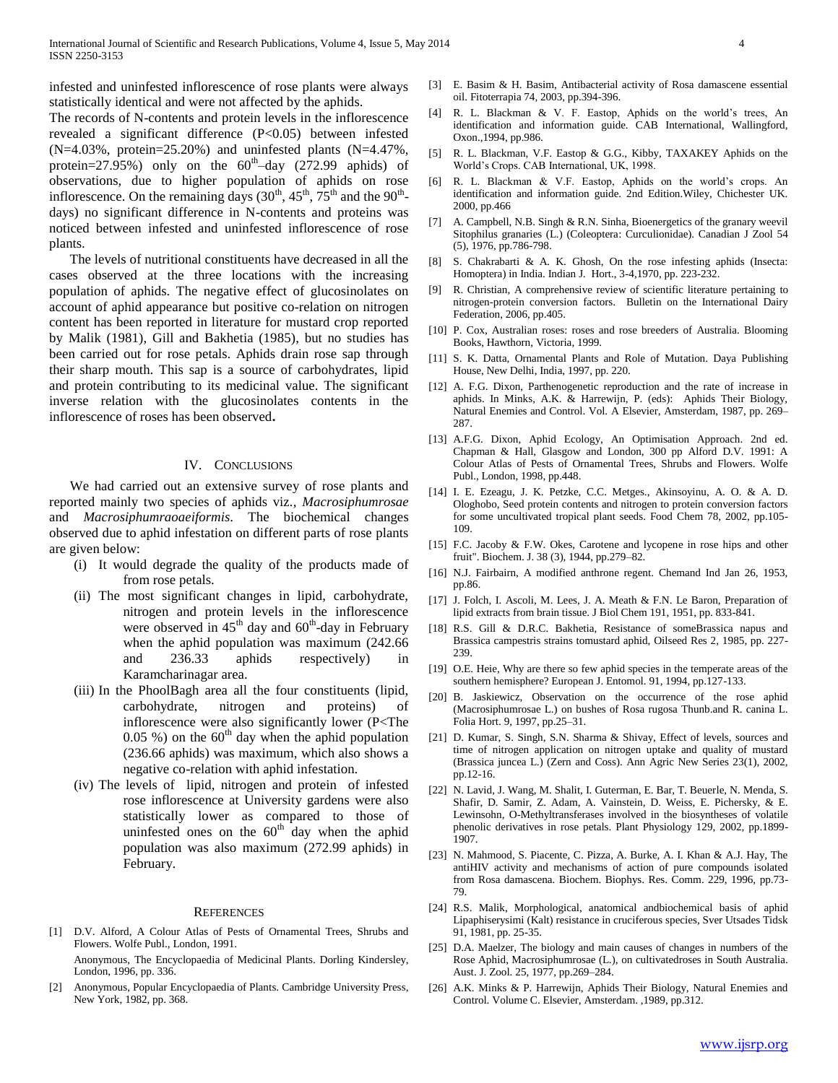infested and uninfested inflorescence of rose plants were always statistically identical and were not affected by the aphids.

The records of N-contents and protein levels in the inflorescence revealed a significant difference (P<0.05) between infested (N=4.03%, protein=25.20%) and uninfested plants (N=4.47%, protein=27.95%) only on the  $60^{\text{th}}$ -day (272.99 aphids) of observations, due to higher population of aphids on rose inflorescence. On the remaining days  $(30<sup>th</sup>, 45<sup>th</sup>, 75<sup>th</sup>$  and the  $90<sup>th</sup>$ days) no significant difference in N-contents and proteins was noticed between infested and uninfested inflorescence of rose plants.

 The levels of nutritional constituents have decreased in all the cases observed at the three locations with the increasing population of aphids. The negative effect of glucosinolates on account of aphid appearance but positive co-relation on nitrogen content has been reported in literature for mustard crop reported by Malik (1981), Gill and Bakhetia (1985), but no studies has been carried out for rose petals. Aphids drain rose sap through their sharp mouth. This sap is a source of carbohydrates, lipid and protein contributing to its medicinal value. The significant inverse relation with the glucosinolates contents in the inflorescence of roses has been observed**.**

#### IV. CONCLUSIONS

 We had carried out an extensive survey of rose plants and reported mainly two species of aphids viz*., Macrosiphumrosae* and *Macrosiphumraoaeiformis*. The biochemical changes observed due to aphid infestation on different parts of rose plants are given below:

- (i) It would degrade the quality of the products made of from rose petals.
- (ii) The most significant changes in lipid, carbohydrate, nitrogen and protein levels in the inflorescence were observed in  $45<sup>th</sup>$  day and  $60<sup>th</sup>$ -day in February when the aphid population was maximum (242.66 and 236.33 aphids respectively) in Karamcharinagar area.
- (iii) In the PhoolBagh area all the four constituents (lipid, carbohydrate, nitrogen and proteins) of inflorescence were also significantly lower (P<The 0.05 %) on the  $60<sup>th</sup>$  day when the aphid population (236.66 aphids) was maximum, which also shows a negative co-relation with aphid infestation.
- (iv) The levels of lipid, nitrogen and protein of infested rose inflorescence at University gardens were also statistically lower as compared to those of uninfested ones on the  $60<sup>th</sup>$  day when the aphid population was also maximum (272.99 aphids) in February.

#### **REFERENCES**

[1] D.V. Alford, A Colour Atlas of Pests of Ornamental Trees, Shrubs and Flowers. Wolfe Publ., London, 1991.

Anonymous, The Encyclopaedia of Medicinal Plants. Dorling Kindersley, London, 1996, pp. 336.

[2] Anonymous, Popular Encyclopaedia of Plants. Cambridge University Press, New York, 1982, pp. 368.

- [3] E. Basim & H. Basim, Antibacterial activity of Rosa damascene essential oil. Fitoterrapia 74, 2003, pp.394-396.
- [4] R. L. Blackman & V. F. Eastop, Aphids on the world's trees, An identification and information guide. CAB International, Wallingford, Oxon.,1994, pp.986.
- [5] R. L. Blackman, V.F. Eastop & G.G., Kibby, TAXAKEY Aphids on the World's Crops. CAB International, UK, 1998.
- [6] R. L. Blackman & V.F. Eastop, Aphids on the world's crops. An identification and information guide. 2nd Edition.Wiley, Chichester UK. 2000, pp.466
- [7] A. Campbell, N.B. Singh & R.N. Sinha, Bioenergetics of the granary weevil Sitophilus granaries (L.) (Coleoptera: Curculionidae). Canadian J Zool 54 (5), 1976, pp.786-798.
- [8] S. Chakrabarti & A. K. Ghosh, On the rose infesting aphids (Insecta: Homoptera) in India. Indian J. Hort., 3-4,1970, pp. 223-232.
- [9] R. Christian, A comprehensive review of scientific literature pertaining to nitrogen-protein conversion factors. Bulletin on the International Dairy Federation, 2006, pp.405.
- [10] P. Cox, Australian roses: roses and rose breeders of Australia. Blooming Books, Hawthorn, Victoria, 1999.
- [11] S. K. Datta, Ornamental Plants and Role of Mutation. Daya Publishing House, New Delhi, India, 1997, pp. 220.
- [12] A. F.G. Dixon, Parthenogenetic reproduction and the rate of increase in aphids. In Minks, A.K. & Harrewijn, P. (eds): Aphids Their Biology, Natural Enemies and Control. Vol. A Elsevier, Amsterdam, 1987, pp. 269– 287.
- [13] A.F.G. Dixon, Aphid Ecology, An Optimisation Approach. 2nd ed. Chapman & Hall, Glasgow and London, 300 pp Alford D.V. 1991: A Colour Atlas of Pests of Ornamental Trees, Shrubs and Flowers. Wolfe Publ., London, 1998, pp.448.
- [14] I. E. Ezeagu, J. K. Petzke, C.C. Metges., Akinsoyinu, A. O. & A. D. Ologhobo, Seed protein contents and nitrogen to protein conversion factors for some uncultivated tropical plant seeds. Food Chem 78, 2002, pp.105- 109.
- [15] F.C. Jacoby & F.W. Okes, Carotene and lycopene in rose hips and other fruit". Biochem. J. 38 (3), 1944, pp.279–82.
- [16] N.J. Fairbairn, A modified anthrone regent. Chemand Ind Jan 26, 1953, pp.86.
- [17] J. Folch, I. Ascoli, M. Lees, J. A. Meath & F.N. Le Baron, Preparation of lipid extracts from brain tissue. J Biol Chem 191, 1951, pp. 833-841.
- [18] R.S. Gill & D.R.C. Bakhetia, Resistance of someBrassica napus and Brassica campestris strains tomustard aphid, Oilseed Res 2, 1985, pp. 227- 239.
- [19] O.E. Heie, Why are there so few aphid species in the temperate areas of the southern hemisphere? European J. Entomol. 91, 1994, pp.127-133.
- [20] B. Jaskiewicz, Observation on the occurrence of the rose aphid (Macrosiphumrosae L.) on bushes of Rosa rugosa Thunb.and R. canina L. Folia Hort. 9, 1997, pp.25–31.
- [21] D. Kumar, S. Singh, S.N. Sharma & Shivay, Effect of levels, sources and time of nitrogen application on nitrogen uptake and quality of mustard (Brassica juncea L.) (Zern and Coss). Ann Agric New Series 23(1), 2002, pp.12-16.
- [22] N. Lavid, J. Wang, M. Shalit, I. Guterman, E. Bar, T. Beuerle, N. Menda, S. Shafir, D. Samir, Z. Adam, A. Vainstein, D. Weiss, E. Pichersky, & E. Lewinsohn, O-Methyltransferases involved in the biosyntheses of volatile phenolic derivatives in rose petals. Plant Physiology 129, 2002, pp.1899- 1907.
- [23] N. Mahmood, S. Piacente, C. Pizza, A. Burke, A. I. Khan & A.J. Hay, The antiHIV activity and mechanisms of action of pure compounds isolated from Rosa damascena. Biochem. Biophys. Res. Comm. 229, 1996, pp.73- 79.
- [24] R.S. Malik, Morphological, anatomical andbiochemical basis of aphid Lipaphiserysimi (Kalt) resistance in cruciferous species, Sver Utsades Tidsk 91, 1981, pp. 25-35.
- [25] D.A. Maelzer, The biology and main causes of changes in numbers of the Rose Aphid, Macrosiphumrosae (L.), on cultivatedroses in South Australia. Aust. J. Zool. 25, 1977, pp.269–284.
- [26] A.K. Minks & P. Harrewijn, Aphids Their Biology, Natural Enemies and Control. Volume C. Elsevier, Amsterdam. ,1989, pp.312.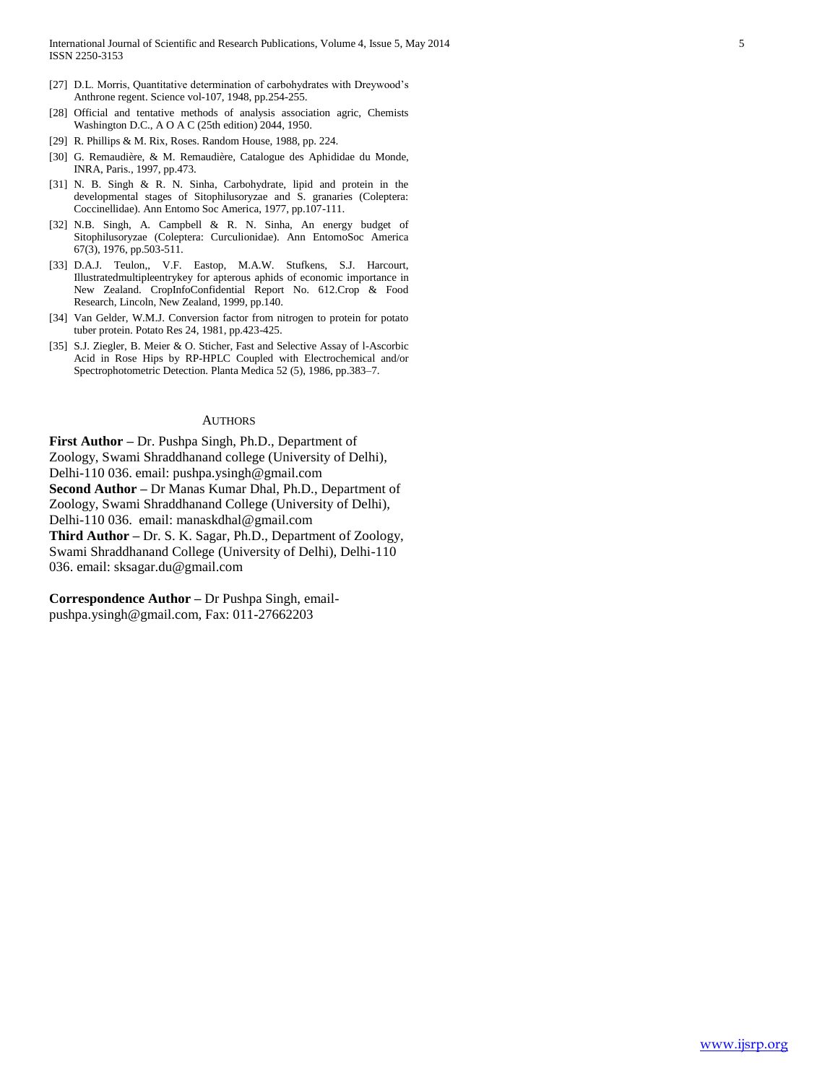- [27] D.L. Morris, Quantitative determination of carbohydrates with Dreywood's Anthrone regent. Science vol-107, 1948, pp.254-255.
- [28] Official and tentative methods of analysis association agric, Chemists Washington D.C., A O A C (25th edition) 2044, 1950.
- [29] R. Phillips & M. Rix, Roses. Random House, 1988, pp. 224.
- [30] G. Remaudière, & M. Remaudière, Catalogue des Aphididae du Monde, INRA, Paris., 1997, pp.473.
- [31] N. B. Singh & R. N. Sinha, Carbohydrate, lipid and protein in the developmental stages of Sitophilusoryzae and S. granaries (Coleptera: Coccinellidae). Ann Entomo Soc America, 1977, pp.107-111.
- [32] N.B. Singh, A. Campbell & R. N. Sinha, An energy budget of Sitophilusoryzae (Coleptera: Curculionidae). Ann EntomoSoc America 67(3), 1976, pp.503-511.
- [33] D.A.J. Teulon,, V.F. Eastop, M.A.W. Stufkens, S.J. Harcourt, Illustratedmultipleentrykey for apterous aphids of economic importance in New Zealand. CropInfoConfidential Report No. 612.Crop & Food Research, Lincoln, New Zealand, 1999, pp.140.
- [34] Van Gelder, W.M.J. Conversion factor from nitrogen to protein for potato tuber protein. Potato Res 24, 1981, pp.423-425.
- [35] S.J. Ziegler, B. Meier & O. Sticher, Fast and Selective Assay of l-Ascorbic Acid in Rose Hips by RP-HPLC Coupled with Electrochemical and/or Spectrophotometric Detection. Planta Medica 52 (5), 1986, pp.383–7.

#### **AUTHORS**

**First Author –** Dr. Pushpa Singh, Ph.D., Department of Zoology, Swami Shraddhanand college (University of Delhi), Delhi-110 036. email: pushpa.ysingh@gmail.com

**Second Author –** Dr Manas Kumar Dhal, Ph.D., Department of Zoology, Swami Shraddhanand College (University of Delhi),

Delhi-110 036. email: manaskdhal@gmail.com

**Third Author –** Dr. S. K. Sagar, Ph.D., Department of Zoology, Swami Shraddhanand College (University of Delhi), Delhi-110 036. email: sksagar.du@gmail.com

**Correspondence Author –** Dr Pushpa Singh, emailpushpa.ysingh@gmail.com, Fax: 011-27662203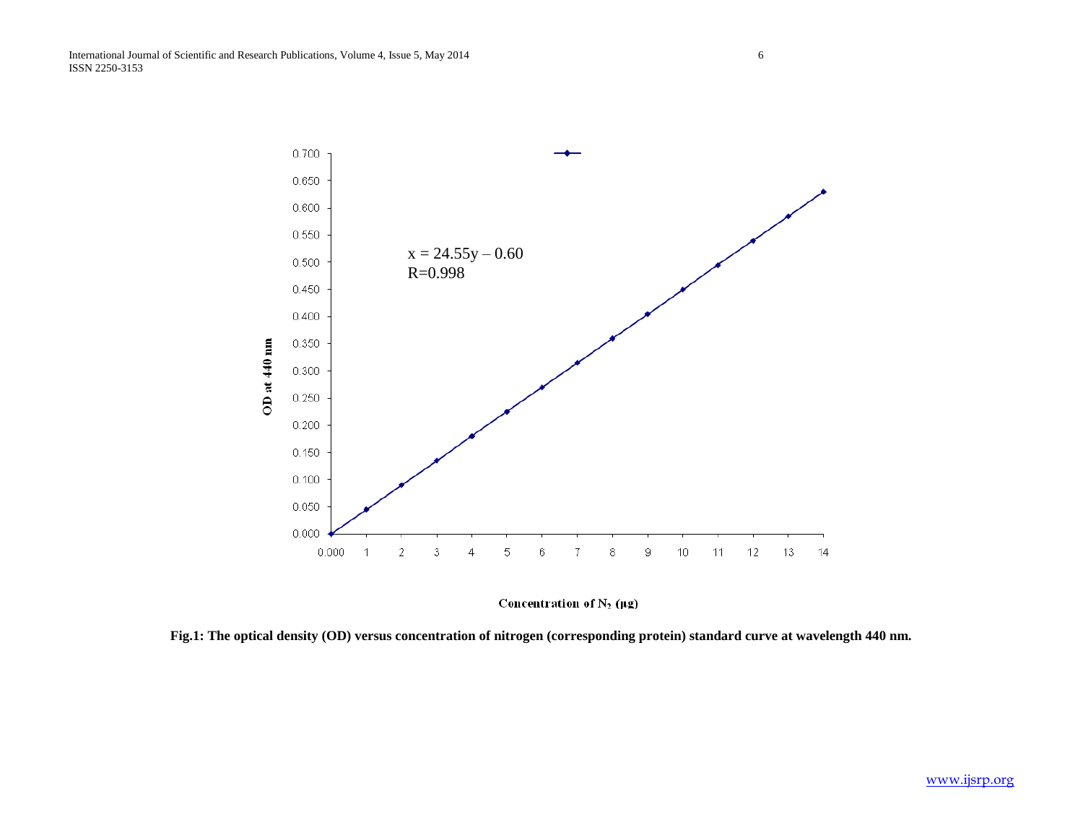

Concentration of  $N_2$  ( $\mu$ g)

**Fig.1: The optical density (OD) versus concentration of nitrogen (corresponding protein) standard curve at wavelength 440 nm.**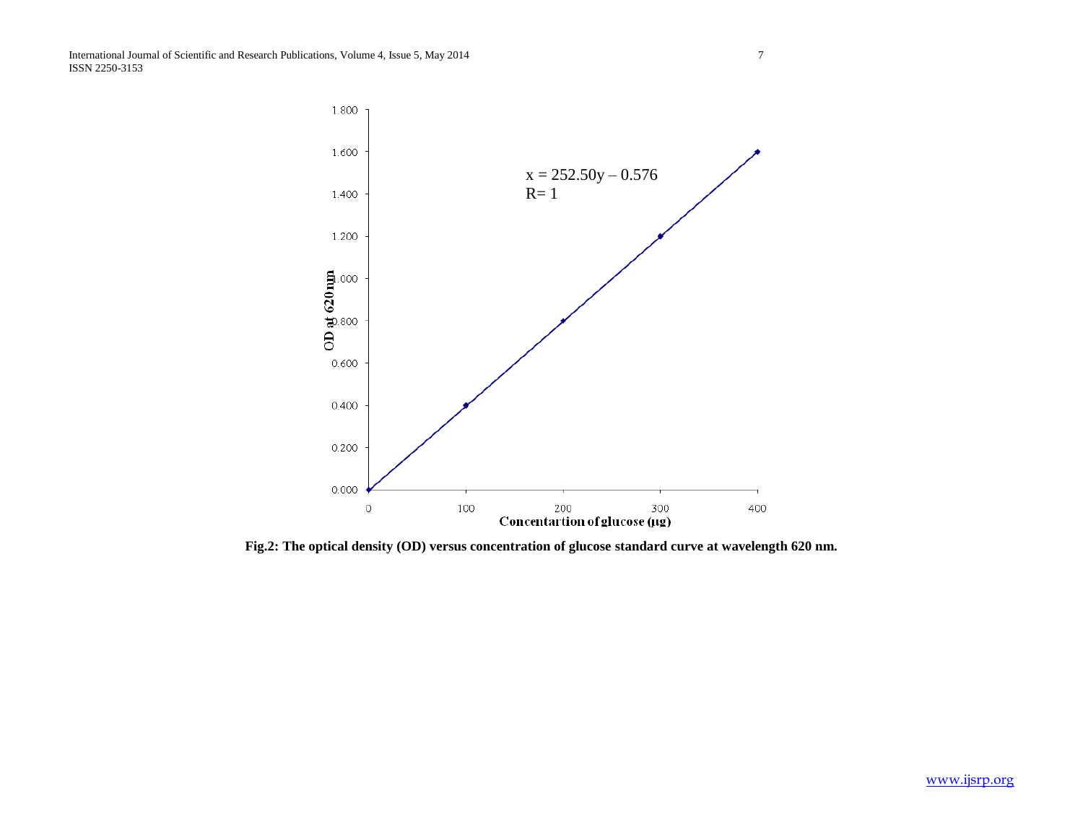

**Fig.2: The optical density (OD) versus concentration of glucose standard curve at wavelength 620 nm.**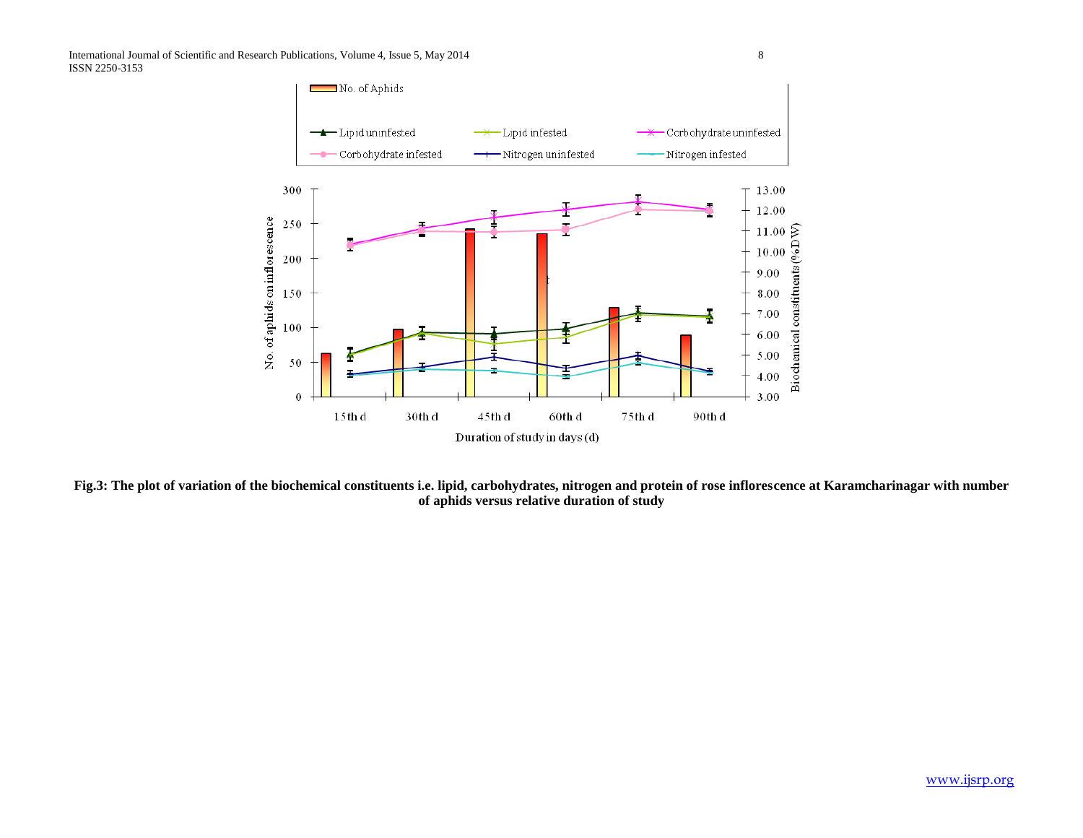

**Fig.3: The plot of variation of the biochemical constituents i.e. lipid, carbohydrates, nitrogen and protein of rose inflorescence at Karamcharinagar with number of aphids versus relative duration of study**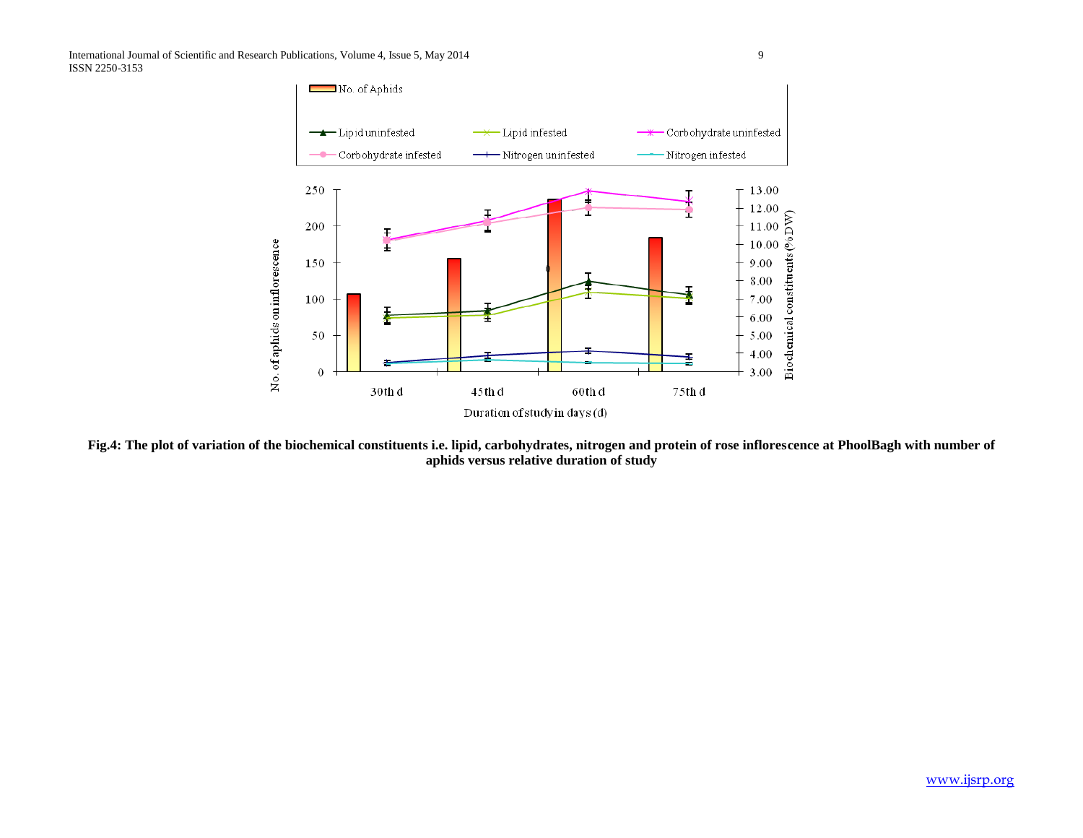

**Fig.4: The plot of variation of the biochemical constituents i.e. lipid, carbohydrates, nitrogen and protein of rose inflorescence at PhoolBagh with number of aphids versus relative duration of study**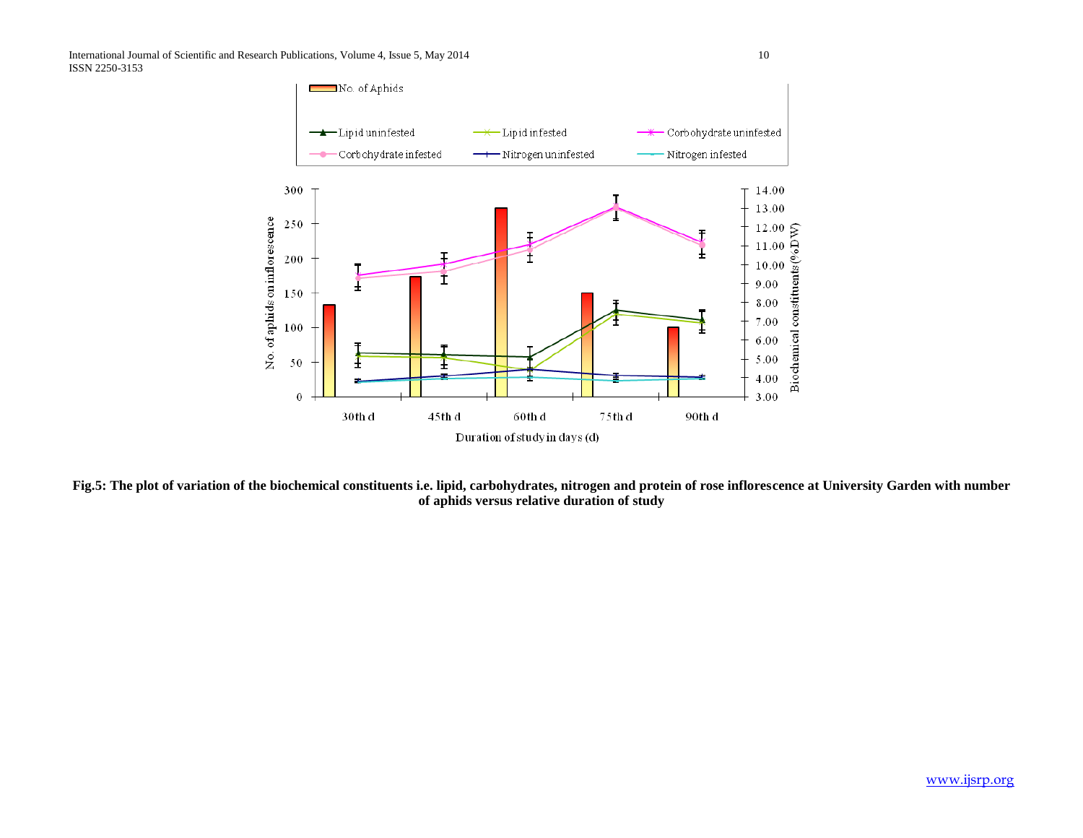

**Fig.5: The plot of variation of the biochemical constituents i.e. lipid, carbohydrates, nitrogen and protein of rose inflorescence at University Garden with number of aphids versus relative duration of study**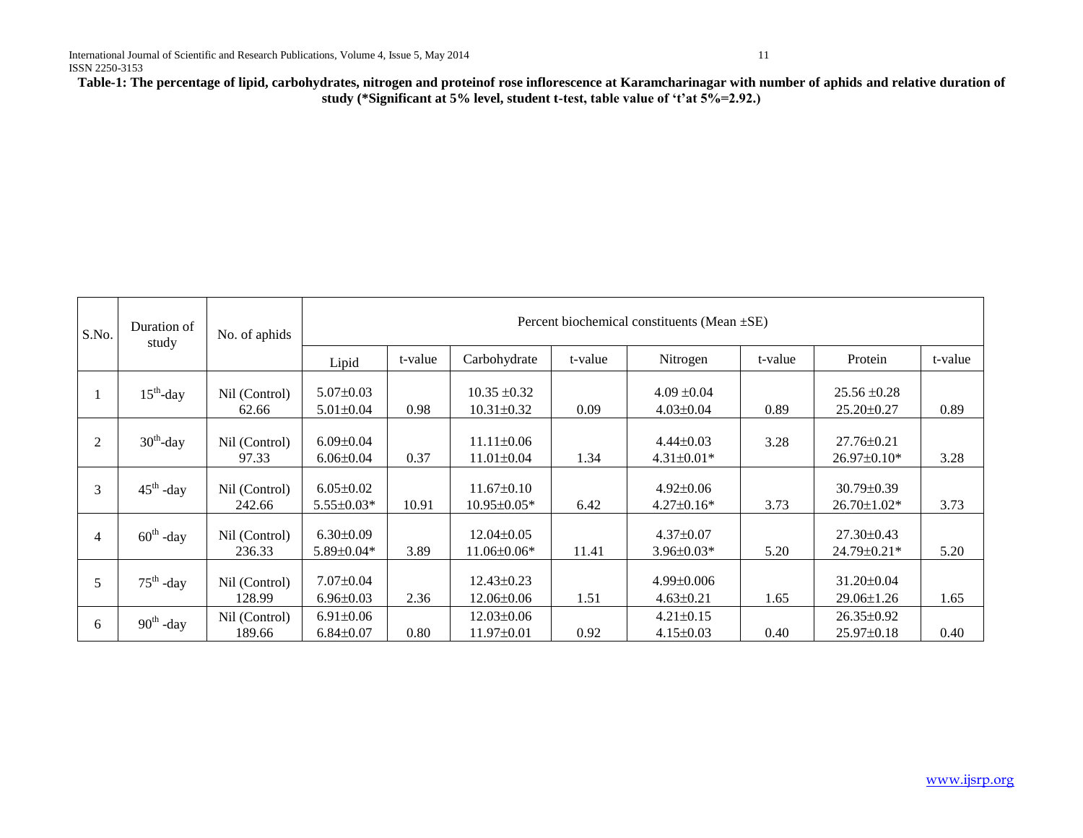**Table-1: The percentage of lipid, carbohydrates, nitrogen and proteinof rose inflorescence at Karamcharinagar with number of aphids and relative duration of study (\*Significant at 5% level, student t-test, table value of 't'at 5%=2.92.)**

| S.No.          | Duration of<br>study  | No. of aphids           | Percent biochemical constituents (Mean $\pm$ SE) |         |                                       |         |                                     |         |                                       |         |  |
|----------------|-----------------------|-------------------------|--------------------------------------------------|---------|---------------------------------------|---------|-------------------------------------|---------|---------------------------------------|---------|--|
|                |                       |                         | Lipid                                            | t-value | Carbohydrate                          | t-value | Nitrogen                            | t-value | Protein                               | t-value |  |
|                | $15th$ -day           | Nil (Control)<br>62.66  | $5.07 \pm 0.03$<br>$5.01 \pm 0.04$               | 0.98    | $10.35 \pm 0.32$<br>$10.31 \pm 0.32$  | 0.09    | $4.09 \pm 0.04$<br>$4.03 \pm 0.04$  | 0.89    | $25.56 \pm 0.28$<br>$25.20 \pm 0.27$  | 0.89    |  |
| 2              | $30^{\text{th}}$ -day | Nil (Control)<br>97.33  | $6.09 \pm 0.04$<br>$6.06 \pm 0.04$               | 0.37    | $11.11 \pm 0.06$<br>$11.01 \pm 0.04$  | 1.34    | $4.44 \pm 0.03$<br>$4.31 \pm 0.01*$ | 3.28    | $27.76 \pm 0.21$<br>$26.97 \pm 0.10*$ | 3.28    |  |
| 3              | $45^{\text{th}}$ -day | Nil (Control)<br>242.66 | $6.05 \pm 0.02$<br>$5.55 \pm 0.03*$              | 10.91   | $11.67 \pm 0.10$<br>$10.95 \pm 0.05*$ | 6.42    | $4.92 \pm 0.06$<br>$4.27\pm0.16*$   | 3.73    | $30.79 \pm 0.39$<br>$26.70 \pm 1.02*$ | 3.73    |  |
| $\overline{4}$ | $60^{\text{th}}$ -day | Nil (Control)<br>236.33 | $6.30\pm0.09$<br>$5.89 \pm 0.04*$                | 3.89    | $12.04 \pm 0.05$<br>$11.06\pm0.06*$   | 11.41   | $4.37 \pm 0.07$<br>$3.96 \pm 0.03*$ | 5.20    | $27.30 \pm 0.43$<br>24.79±0.21*       | 5.20    |  |
| 5              | $75^{\text{th}}$ -day | Nil (Control)<br>128.99 | $7.07 \pm 0.04$<br>$6.96 \pm 0.03$               | 2.36    | $12.43\pm0.23$<br>12.06±0.06          | 1.51    | $4.99 \pm 0.006$<br>$4.63 \pm 0.21$ | 1.65    | $31.20 \pm 0.04$<br>29.06±1.26        | 1.65    |  |
| 6              | $90^{\text{th}}$ -day | Nil (Control)<br>189.66 | $6.91 \pm 0.06$<br>$6.84 \pm 0.07$               | 0.80    | 12.03±0.06<br>$11.97 \pm 0.01$        | 0.92    | $4.21 \pm 0.15$<br>$4.15 \pm 0.03$  | 0.40    | $26.35 \pm 0.92$<br>$25.97 \pm 0.18$  | 0.40    |  |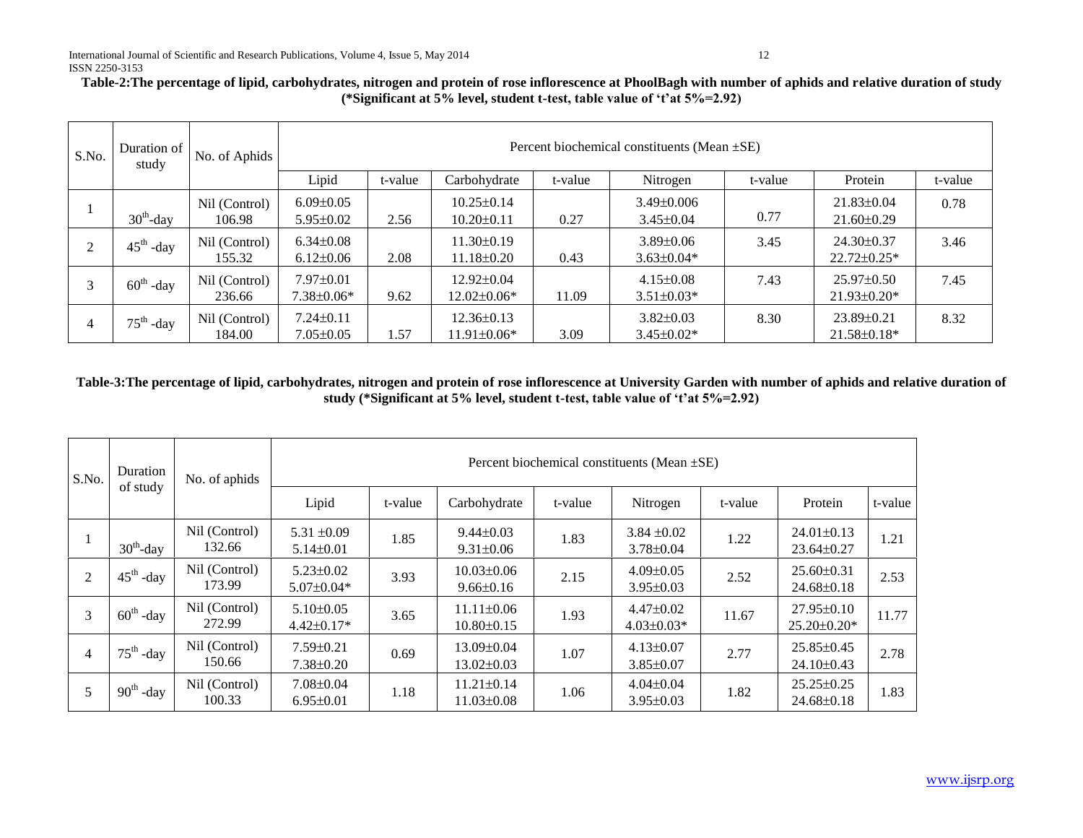# **Table-2:The percentage of lipid, carbohydrates, nitrogen and protein of rose inflorescence at PhoolBagh with number of aphids and relative duration of study (\*Significant at 5% level, student t-test, table value of 't'at 5%=2.92)**

| S.No. | Duration of<br>study  | No. of Aphids           | Percent biochemical constituents (Mean ±SE) |         |                                       |         |                                     |         |                                       |         |  |
|-------|-----------------------|-------------------------|---------------------------------------------|---------|---------------------------------------|---------|-------------------------------------|---------|---------------------------------------|---------|--|
|       |                       |                         | Lipid                                       | t-value | Carbohydrate                          | t-value | Nitrogen                            | t-value | Protein                               | t-value |  |
|       | $30^{\text{th}}$ -day | Nil (Control)<br>106.98 | $6.09 \pm 0.05$<br>$5.95 \pm 0.02$          | 2.56    | $10.25 \pm 0.14$<br>$10.20 \pm 0.11$  | 0.27    | $3.49 \pm 0.006$<br>$3.45 \pm 0.04$ | 0.77    | $21.83 \pm 0.04$<br>$21.60 \pm 0.29$  | 0.78    |  |
| 2     | $45^{\text{th}}$ -day | Nil (Control)<br>155.32 | $6.34 \pm 0.08$<br>$6.12{\pm}0.06$          | 2.08    | $11.30\pm0.19$<br>$11.18 \pm 0.20$    | 0.43    | $3.89 \pm 0.06$<br>$3.63 \pm 0.04*$ | 3.45    | $24.30\pm0.37$<br>$22.72 \pm 0.25$ *  | 3.46    |  |
| 3     | $60^{\text{th}}$ -day | Nil (Control)<br>236.66 | $7.97 \pm 0.01$<br>$7.38 \pm 0.06*$         | 9.62    | $12.92 \pm 0.04$<br>$12.02\pm0.06*$   | 11.09   | $4.15 \pm 0.08$<br>$3.51 \pm 0.03*$ | 7.43    | $25.97\pm0.50$<br>$21.93 \pm 0.20*$   | 7.45    |  |
| 4     | $75^{\text{th}}$ -day | Nil (Control)<br>184.00 | $7.24 \pm 0.11$<br>$7.05 \pm 0.05$          | 1.57    | $12.36 \pm 0.13$<br>$11.91 \pm 0.06*$ | 3.09    | $3.82 \pm 0.03$<br>$3.45 \pm 0.02*$ | 8.30    | $23.89 \pm 0.21$<br>$21.58 \pm 0.18*$ | 8.32    |  |

## **Table-3:The percentage of lipid, carbohydrates, nitrogen and protein of rose inflorescence at University Garden with number of aphids and relative duration of study (\*Significant at 5% level, student t-test, table value of 't'at 5%=2.92)**

| S.No.<br>2<br>3 | Duration<br>of study  | No. of aphids           | Percent biochemical constituents (Mean $\pm$ SE) |         |                                      |         |                                    |         |                                        |         |  |
|-----------------|-----------------------|-------------------------|--------------------------------------------------|---------|--------------------------------------|---------|------------------------------------|---------|----------------------------------------|---------|--|
|                 |                       |                         | Lipid                                            | t-value | Carbohydrate                         | t-value | Nitrogen                           | t-value | Protein                                | t-value |  |
|                 | $30^{\text{th}}$ -day | Nil (Control)<br>132.66 | $5.31 \pm 0.09$<br>$5.14 \pm 0.01$               | 1.85    | $9.44 \pm 0.03$<br>$9.31 \pm 0.06$   | 1.83    | $3.84 \pm 0.02$<br>$3.78 \pm 0.04$ | 1.22    | $24.01 \pm 0.13$<br>$23.64 \pm 0.27$   | 1.21    |  |
|                 | $45^{\text{th}}$ -day | Nil (Control)<br>173.99 | $5.23 \pm 0.02$<br>$5.07 \pm 0.04*$              | 3.93    | $10.03 \pm 0.06$<br>$9.66 \pm 0.16$  | 2.15    | $4.09 \pm 0.05$<br>$3.95 \pm 0.03$ | 2.52    | $25.60 \pm 0.31$<br>$24.68 \pm 0.18$   | 2.53    |  |
|                 | $60^{\text{th}}$ -day | Nil (Control)<br>272.99 | $5.10\pm0.05$<br>$4.42 \pm 0.17*$                | 3.65    | $11.11 \pm 0.06$<br>$10.80 \pm 0.15$ | 1.93    | $4.47\pm0.02$<br>$4.03 \pm 0.03*$  | 11.67   | $27.95 \pm 0.10$<br>$25.20 \pm 0.20^*$ | 11.77   |  |
| $\overline{4}$  | $75^{\text{th}}$ -day | Nil (Control)<br>150.66 | $7.59 \pm 0.21$<br>$7.38 \pm 0.20$               | 0.69    | $13.09 \pm 0.04$<br>$13.02 \pm 0.03$ | 1.07    | $4.13 \pm 0.07$<br>$3.85 \pm 0.07$ | 2.77    | $25.85 \pm 0.45$<br>$24.10\pm0.43$     | 2.78    |  |
| 5               | $90^{\text{th}}$ -day | Nil (Control)<br>100.33 | $7.08 \pm 0.04$<br>$6.95 \pm 0.01$               | 1.18    | $11.21 \pm 0.14$<br>$11.03 \pm 0.08$ | 1.06    | $4.04 \pm 0.04$<br>$3.95 \pm 0.03$ | 1.82    | $25.25 \pm 0.25$<br>$24.68 \pm 0.18$   | 1.83    |  |